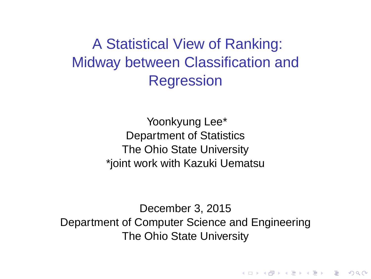A Statistical View of Ranking: Midway between Classification and **Regression** 

> Yoonkyung Lee\* Department of Statistics The Ohio State University \*joint work with Kazuki Uematsu

December 3, 2015 Department of Computer Science and Engineering The Ohio State University

**A DIA K F A REIN A RIA K DIA K DIA R**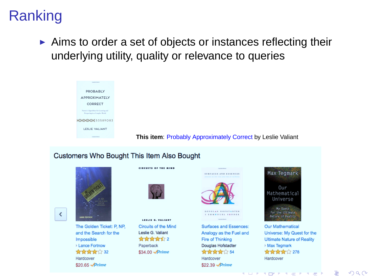# Ranking

 $\triangleright$  Aims to order a set of objects or instances reflecting their underlying utility, quality or relevance to queries

| ----                                                                  |                                                             |
|-----------------------------------------------------------------------|-------------------------------------------------------------|
| PROBABLY                                                              |                                                             |
| <b>APPROXIMATELY</b>                                                  |                                                             |
| CORRECT                                                               |                                                             |
| Nature's Algorithma for Expening and<br>Presering in a Consider World |                                                             |
| <b>MTMTMTMT53589083</b>                                               |                                                             |
| LESLIE VALIANT                                                        |                                                             |
| <b><i>SACKSON</i></b>                                                 | This item: Probably Approximately Correct by Leslie Valiant |

### **Customers Who Bought This Item Also Bought**



 $\langle$ 

The Golden Ticket: P. NP. and the Search for the Imnossible Lance Fortnow **the the sheet of 2** 32 Hardcover \$20.65 Prime



cleanits of the Hinn

LESLIE G. VALIANT Circuits of the Mind Leslie G. Valiant **The first first of 2** Paperback \$34.00 Prime



**DOUGLAS HOFSTADTER** 

**Surfaces and Essences:** Analogy as the Fuel and Fire of Thinking Douglas Hofstadter **सीट की की ह**ै 254 Hardcover \$22.39 Prime



Our Mathematical Universe: My Quest for the **Ultimate Nature of Reality** > Max Tegmark **The first first 1278** Hardcover

**メロアメログメモアメモデ** 

 $\Omega$ 

÷.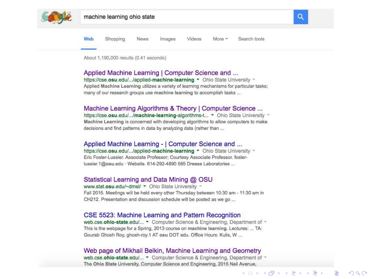

Web Shopping **News** Images Videos  $More -$ Search tools

About 1,190,000 results (0.41 seconds)

#### Applied Machine Learning | Computer Science and ...

https://cse.osu.edu/.../applied-machine-learning • Ohio State University + Applied Machine Learning utilizes a variety of learning mechanisms for particular tasks: many of our research groups use machine learning to accomplish tasks ...

#### Machine Learning Algorithms & Theory | Computer Science ...

https://cse.osu.edu/.../machine-learning-algorithms-t... • Ohio State University -Machine Learning is concerned with developing algorithms to allow computers to make decisions and find patterns in data by analyzing data (rather than ...

### Applied Machine Learning - | Computer Science and ...

https://cse.osu.edu/.../applied-machine-learning • Ohio State University -Eric Fosler-Lussier, Associate Professor: Courtesy Associate Professor, foslerlussier 1@psu.edu · Website, 614-292-4890 585 Dreese Laboratories ...

### Statistical Learning and Data Mining @ OSU

www.stat.osu.edu/~dmsl/ - Ohio State University -Fall 2015. Meetings will be held every other Thursday between 10:30 am - 11:30 am in CH212. Presentation and discussion schedule will be posted as we go ...

#### CSE 5523: Machine Learning and Pattern Recognition

web.cse.ohio-state.edu/... • Computer Science & Engineering, Department of ~ This is the webpage for a Spring, 2013 course on machine learning. Lectures: ... TA: Gourab Ghosh Roy, ghosh-roy.1 AT osu DOT edu. Office Hours: Kulis, W ...

#### Web page of Mikhail Belkin, Machine Learning and Geometry

web.cse.ohio-state.edu/... • Computer Science & Engineering. Department of -The Ohio State University, Computer Science and Engineering, 2015 Neil Avenue.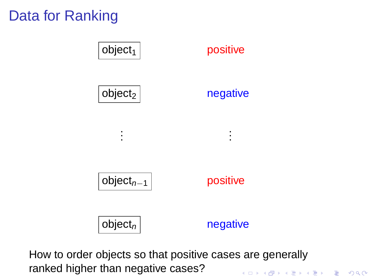# Data for Ranking



How to order objects so that positive cases are generally ranked higher than negative cases?.<br>◆ ロ ▶ ◆ ⑦ ▶ ◆ 경 ▶ → 경 ▶ │ 경 │ ◇ 9,9,0°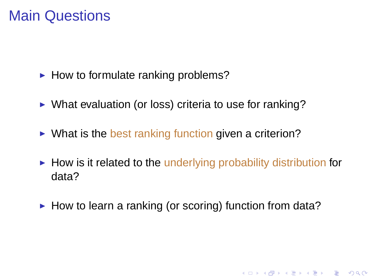## Main Questions

- $\blacktriangleright$  How to formulate ranking problems?
- ▶ What evaluation (or loss) criteria to use for ranking?
- $\triangleright$  What is the best ranking function given a criterion?
- $\blacktriangleright$  How is it related to the underlying probability distribution for data?

K ロ ▶ K @ ▶ K 할 ▶ K 할 ▶ 이 할 → 9 Q Q →

► How to learn a ranking (or scoring) function from data?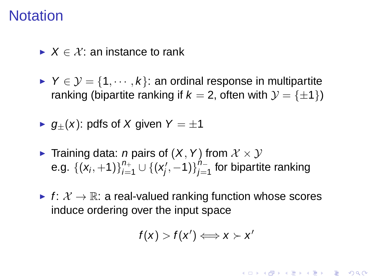## **Notation**

- $\blacktriangleright$   $X \in \mathcal{X}$  an instance to rank
- $\triangleright$  Y  $\in$   $\mathcal{Y} = \{1, \dots, k\}$ : an ordinal response in multipartite ranking (bipartite ranking if  $k = 2$ , often with  $\mathcal{Y} = \{\pm 1\}$ )
- $\blacktriangleright$   $q_{+}(x)$ : pdfs of X given  $Y = \pm 1$
- ► Training data: *n* pairs of  $(X, Y)$  from  $X \times Y$ e.g.  $\{ (x_i, +1) \}_{i=1}^{n+1}$  $_{i=1}^{n_+} \cup \{ (x'_j)$  $\binom{n}{j}, -1$ } $\sum_{j=1}^{n-1}$  $\frac{n}{j=1}^{\prime\prime-}$  for bipartite ranking
- ► f:  $\mathcal{X} \rightarrow \mathbb{R}$ : a real-valued ranking function whose scores induce ordering over the input space

$$
f(x) > f(x') \Longleftrightarrow x \succ x'
$$

KID K@ KKEX KEX E 1090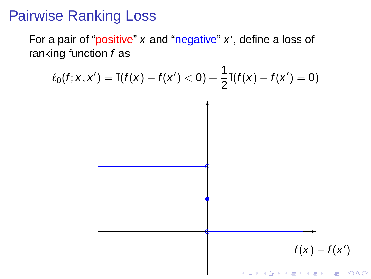## Pairwise Ranking Loss

For a pair of "positive" x and "negative" x', define a loss of ranking function f as

$$
\ell_0(f; x, x') = \mathbb{I}(f(x) - f(x') < 0) + \frac{1}{2}\mathbb{I}(f(x) - f(x') = 0)
$$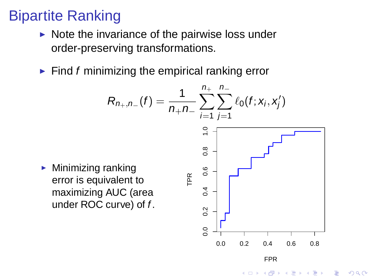# Bipartite Ranking

- $\triangleright$  Note the invariance of the pairwise loss under order-preserving transformations.
- $\blacktriangleright$  Find f minimizing the empirical ranking error

$$
R_{n_{+},n_{-}}(f) = \frac{1}{n_{+}n_{-}} \sum_{i=1}^{n_{+}} \sum_{j=1}^{n_{-}} \ell_{0}(f; x_{i}, x_{j}^{\prime})
$$
\n
$$
\sum_{i=1}^{n_{+}} \sum_{j=1}^{n_{-}} \ell_{0}(f; x_{i}, x_{j}^{\prime})
$$
\nanking value of the AUC (area curve) of  $f$ .

\nSince the following equation  $\sum_{i=1}^{n} x_{i} = 1$ , we have:

\n
$$
\sum_{i=1}^{n} x_{i} = 1
$$
\n
$$
\sum_{i=1}^{n} x_{i} = 1
$$
\n
$$
\sum_{i=1}^{n} x_{i} = 1
$$
\n
$$
\sum_{i=1}^{n} x_{i} = 1
$$
\n
$$
\sum_{i=1}^{n} x_{i} = 1
$$
\n
$$
\sum_{i=1}^{n} x_{i} = 1
$$
\n
$$
\sum_{i=1}^{n} x_{i} = 1
$$
\n
$$
\sum_{i=1}^{n} x_{i} = 1
$$
\n
$$
\sum_{i=1}^{n} x_{i} = 1
$$
\n
$$
\sum_{i=1}^{n} x_{i} = 1
$$
\n
$$
\sum_{i=1}^{n} x_{i} = 1
$$
\n
$$
\sum_{i=1}^{n} x_{i} = 1
$$
\n
$$
\sum_{i=1}^{n} x_{i} = 1
$$
\n
$$
\sum_{i=1}^{n} x_{i} = 1
$$
\n
$$
\sum_{i=1}^{n} x_{i} = 1
$$
\n
$$
\sum_{i=1}^{n} x_{i} = 1
$$
\n
$$
\sum_{i=1}^{n} x_{i} = 1
$$
\n
$$
\sum_{i=1}^{n} x_{i} = 1
$$
\n
$$
\sum_{i=1}^{n} x_{i} = 1
$$
\n
$$
\sum_{i=1}^{n} x_{i} = 1
$$
\nwhere  $x$  is the sum of  $x$  and  $x$  is the sum of  $x$  and  $x$  is the sum of  $x$  and 

K ロ ▶ K @ ▶ K 할 ▶ K 할 ▶ . 할 . K 9 Q @

 $\blacktriangleright$  Minimizing rank error is equival maximizing AU under ROC cui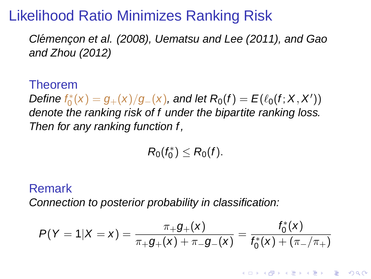## Likelihood Ratio Minimizes Ranking Risk

Clémençon et al. (2008), Uematsu and Lee (2011), and Gao and Zhou (2012)

Theorem

Define  $f_0^*$  $S_0^*(x)=g_+(x)/g_-(x)$ , and let  $\mathcal{R}_0(f)=\pmb{E}(\ell_0(f;X,X'))$ denote the ranking risk of f under the bipartite ranking loss. Then for any ranking function f,

> $R_0(f_0^*)$  $S_0^*$ )  $\leq R_0(f)$ .

### Remark

Connection to posterior probability in classification:

$$
P(Y = 1 | X = x) = \frac{\pi_+ g_+(x)}{\pi_+ g_+(x) + \pi_- g_-(x)} = \frac{f_0^*(x)}{f_0^*(x) + (\pi_-/\pi_+)}
$$

**A DIA K F A REIN A RIA K DIA K DIA R**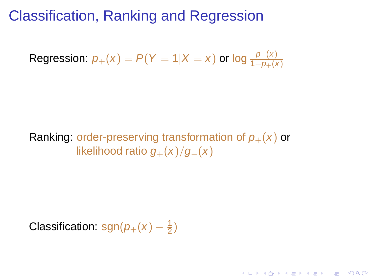# Classification, Ranking and Regression

Regression:  $p_+(x) = P(Y = 1 | X = x)$  or log  $\frac{p_+(x)}{1-p_+(x)}$ 

Ranking: order-preserving transformation of  $p_{+}(x)$  or likelihood ratio  $g_{+}(x)/g_{-}(x)$ 

K ロ ▶ K @ ▶ K 할 ▶ K 할 ▶ . 할 . K 9 Q @

Classification: sgn $(p_+(x) - \frac{1}{2})$  $\frac{1}{2}$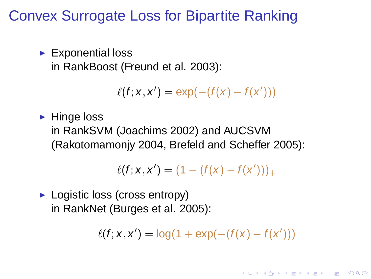## Convex Surrogate Loss for Bipartite Ranking

 $\blacktriangleright$  Exponential loss in RankBoost (Freund et al. 2003):

 $\ell(f; x, x') = \exp(-(f(x) - f(x')))$ 

 $\blacktriangleright$  Hinge loss

in RankSVM (Joachims 2002) and AUCSVM (Rakotomamonjy 2004, Brefeld and Scheffer 2005):

$$
\ell(f; x, x') = (1 - (f(x) - f(x')))_+
$$

► Logistic loss (cross entropy) in RankNet (Burges et al. 2005):

 $\ell(f; x, x') = \log(1 + \exp(-(f(x) - f(x')))$ 

**A DIA K F A REIN A RIA K DIA K DIA R**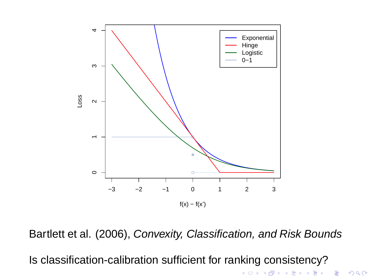

Bartlett et al. (2006), Convexity, Classification, and Risk Bounds

(ロトメ部) (文書) (文書)

 $\equiv$  990

Is classification-calibration sufficient for ranking consistency?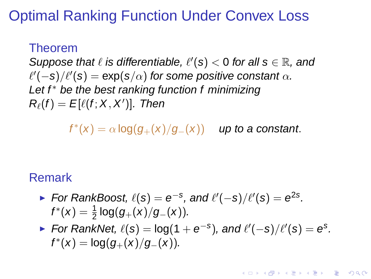# Optimal Ranking Function Under Convex Loss

## Theorem

Suppose that  $\ell$  is differentiable,  $\ell'(s) < 0$  for all  $s \in \mathbb{R}$ , and  $\ell^{\prime}(-s)/\ell^{\prime}(s) = \exp(s/\alpha)$  for some positive constant  $\alpha$ . Let  $f^*$  be the best ranking function  $f$  minimizing  $R_{\ell}(f) = E[\ell(f; X, X')]$ . Then

 $f^*(x) = \alpha \log(g_+(x)/g_-(x))$  up to a constant.

## Remark

For RankBoost,  $\ell(s) = e^{-s}$ , and  $\ell'(-s)/\ell'(s) = e^{2s}$ .  $f^*(x) = \frac{1}{2} \log(g_+(x)/g_-(x)).$ 

For RankNet,  $\ell(s) = \log(1 + e^{-s})$ , and  $\ell'(-s)/\ell'(s) = e^{s}$ .  $f^*(x) = \log(g_+(x)/g_-(x)).$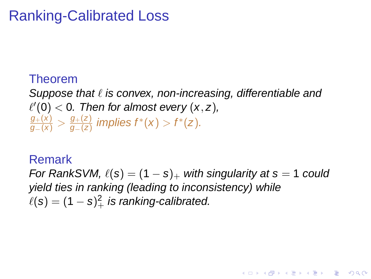# Ranking-Calibrated Loss

## Theorem

Suppose that  $\ell$  is convex, non-increasing, differentiable and  $\ell'(0) < 0$ . Then for almost every  $(x, z)$ ,  $\frac{g_+( \mathrm{\mathsf{x}} )}{g_-( \mathrm{\mathsf{x}} )} > \frac{g_+( \mathrm{\mathsf{z}} )}{g_-( \mathrm{\mathsf{z}} )}$  $\frac{g_+(z)}{g_-(z)}$  implies  $f^*(x) > f^*(z)$ .

### Remark

For RankSVM,  $\ell(s) = (1 - s)_+$  with singularity at  $s = 1$  could yield ties in ranking (leading to inconsistency) while  $\ell(\mathsf{s}) = (1-\mathsf{s})_+^2$  is ranking-calibrated.

**A DIA K F A REIN A RIA K DIA K DIA R**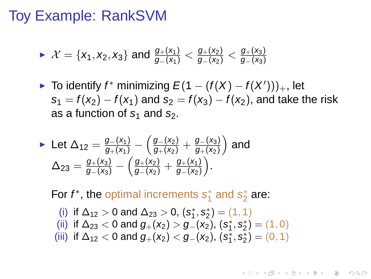## Toy Example: RankSVM

$$
\blacktriangleright \ \mathcal{X} = \{x_1, x_2, x_3\} \text{ and } \frac{g_+(x_1)}{g_-(x_1)} < \frac{g_+(x_2)}{g_-(x_2)} < \frac{g_+(x_3)}{g_-(x_3)}
$$

► To identify  $f^*$  minimizing  $E(1 - (f(X) - f(X')))_+$ , let  $s_1 = f(x_2) - f(x_1)$  and  $s_2 = f(x_3) - f(x_2)$ , and take the risk as a function of  $s_1$  and  $s_2$ .

• Let 
$$
\Delta_{12} = \frac{g_{-}(x_1)}{g_{+}(x_1)} - \left(\frac{g_{-}(x_2)}{g_{+}(x_2)} + \frac{g_{-}(x_3)}{g_{+}(x_2)}\right)
$$
 and  
\n
$$
\Delta_{23} = \frac{g_{+}(x_3)}{g_{-}(x_3)} - \left(\frac{g_{+}(x_2)}{g_{-}(x_2)} + \frac{g_{+}(x_1)}{g_{-}(x_2)}\right).
$$

For  $f^*$ , the optimal increments  $s_1^*$  $s_1^*$  and  $s_2^*$  $\frac{*}{2}$  are:

\n- (i) if 
$$
\Delta_{12} > 0
$$
 and  $\Delta_{23} > 0$ ,  $(s_1^*, s_2^*) = (1, 1)$
\n- (ii) if  $\Delta_{23} < 0$  and  $g_+(x_2) > g_-(x_2)$ ,  $(s_1^*, s_2^*) = (1, 0)$
\n- (iii) if  $\Delta_{12} < 0$  and  $g_+(x_2) < g_-(x_2)$ ,  $(s_1^*, s_2^*) = (0, 1)$
\n

**KORKARYKERKE PORCH**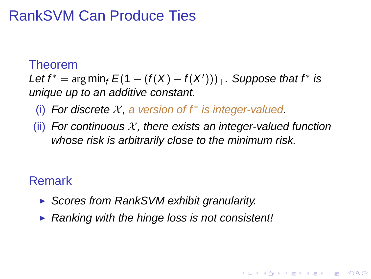## RankSVM Can Produce Ties

### Theorem

Let  $f^* = \arg \min_f E(1 - (f(X) - f(X')))_+$ . Suppose that  $f^*$  is unique up to an additive constant.

- (i) For discrete  $X$ , a version of  $f^*$  is integer-valued.
- (ii) For continuous X, there exists an integer-valued function whose risk is arbitrarily close to the minimum risk.

**KORK ERKERK EI VOOR** 

## Remark

- ▶ Scores from RankSVM exhibit granularity.
- $\triangleright$  Ranking with the hinge loss is not consistent!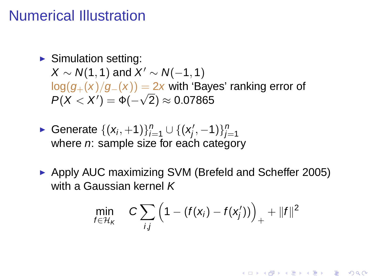## Numerical Illustration

 $\blacktriangleright$  Simulation setting:  $X \sim N(1, 1)$  and  $X' \sim N(-1, 1)$  $log(q_{+}(x)/q_{-}(x)) = 2x$  with 'Bayes' ranking error of  $P(X < X') = \Phi(-\sqrt{2}) \approx 0.07865$ 

- ► Generate  $\{(x_i, +1)\}_{i=1}^n \cup \{(x'_j, +1)\}_{i=1}^n$  $j'$ , -1) $\}_{j=1}^n$ where  $n$ : sample size for each category
- ► Apply AUC maximizing SVM (Brefeld and Scheffer 2005) with a Gaussian kernel K

$$
\min_{f \in \mathcal{H}_K} \quad C \sum_{i,j} \left(1 - (f(\mathbf{x}_i) - f(\mathbf{x}'_j))\right)_+ + ||f||^2
$$

**A DIA K F A REIN A RIA K DIA K DIA R**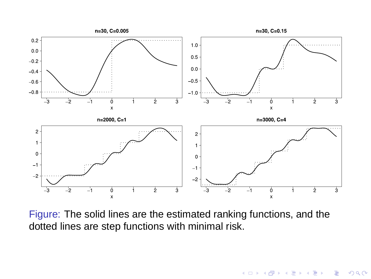

<span id="page-17-0"></span>Figure: The solid lines are the estimated ranking functions, and the dotted lines are step functions with minimal risk.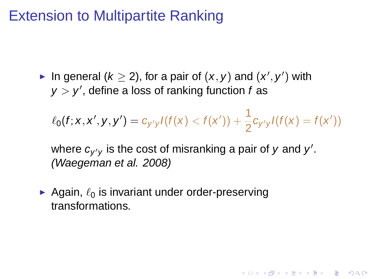## Extension to Multipartite Ranking

In general  $(k \ge 2)$ , for a pair of  $(x, y)$  and  $(x', y')$  with  $y > y'$ , define a loss of ranking function f as

 $\ell_0(f; x, x', y, y') = c_{y'y}l(f(x) < f(x')) + \frac{1}{2}c_{y'y}l(f(x) = f(x'))$ 

**A DIA K F A REIN A RIA K DIA K DIA R** 

where  $c_{y'y}$  is the cost of misranking a pair of y and y'. (Waegeman et al. 2008)

<span id="page-18-0"></span>Again,  $\ell_0$  is invariant under order-preserving transformations.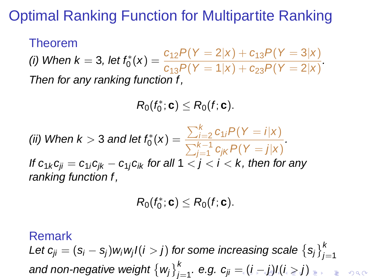# Optimal Ranking Function for Multipartite Ranking

Theorem (i) When  $k = 3$ , let  $f_0^*(x) = \frac{c_{12}P(Y = 2|x) + c_{13}P(Y = 3|x)}{c_{12}P(Y = 1|x) + c_{22}P(Y = 2|x)}$  $\frac{c_{12}C_1}{c_{13}P(Y=1|x)+c_{23}P(Y=2|x)}$ Then for any ranking function f,

$$
R_0(f_0^*;\boldsymbol{c})\leq R_0(f;\boldsymbol{c}).
$$

(ii) When  $k > 3$  and let  $f_0^*(x) = \frac{\sum_{i=2}^k c_{1i} P(Y = i | x)}{\sum_{i=1}^{k-1} c_{1i} P(Y = i | x)}$  $\sum_{j=1}^{k-1} c_{jk} P(Y = j | x)$ . If  $c_{1k} c_{ii} = c_{1i} c_{ik} - c_{1i} c_{ik}$  for all  $1 < j < i < k$ , then for any ranking function f,

$$
R_0(f_0^*;\boldsymbol{c})\leq R_0(f;\boldsymbol{c}).
$$

Remark

<span id="page-19-0"></span>Let  $c_{ji}=(s_i-s_j)$ w $_i$ w $_j$ l $(i>j)$  for some increasing scale  $\left\{s_j\right\}_{j=1}^k$ and non-negat[i](#page-18-0)ve weight  $\left\{\textit{w}_j\right\}_{j=1}^k$  $\left\{\textit{w}_j\right\}_{j=1}^k$  $\left\{\textit{w}_j\right\}_{j=1}^k$ . e.g. c $_{ji}=(i-j)l(i\geq j)$  $_{ji}=(i-j)l(i\geq j)$  $_{ji}=(i-j)l(i\geq j)$  $_{ji}=(i-j)l(i\geq j)$  $_{ji}=(i-j)l(i\geq j)$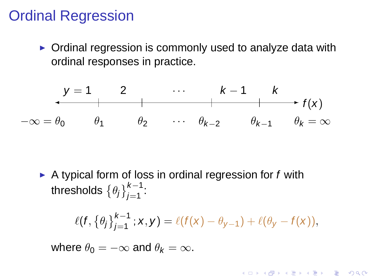## Ordinal Regression

► Ordinal regression is commonly used to analyze data with ordinal responses in practice.

$$
\begin{array}{ccccccccc}\ny=1 & 2 & \cdots & k-1 & k \\
\hline\n-\infty & = & \theta_0 & \theta_1 & \theta_2 & \cdots & \theta_{k-2} & \theta_{k-1} & \theta_k = \infty\n\end{array}
$$

 $\triangleright$  A typical form of loss in ordinal regression for f with thresholds  $\left\{\theta_j\right\}_{j=1}^{k-1}$ :

$$
\ell(f, \{\theta_j\}_{j=1}^{k-1} ; x, y) = \ell(f(x) - \theta_{y-1}) + \ell(\theta_y - f(x)),
$$

KO KKO K S A B K S B K V S A V K S B K S A V S B K S A V S B K S B K S B K S B K S B K S B K S B K S B K S B K

<span id="page-20-0"></span>where  $\theta_0 = -\infty$  and  $\theta_k = \infty$ .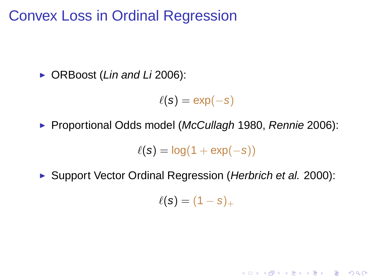Convex Loss in Ordinal Regression

▶ ORBoost (Lin and Li 2006):

 $\ell(s) = \exp(-s)$ 

▶ Proportional Odds model (McCullagh 1980, Rennie 2006):

 $\ell(s) = \log(1 + \exp(-s))$ 

<span id="page-21-0"></span>► Support Vector Ordinal Regression (Herbrich et al. 2000):

 $\ell(s) = (1-s)_+$ 

K ロ ▶ K @ ▶ K 할 ▶ K 할 ▶ | 할 | K 9 Q Q\*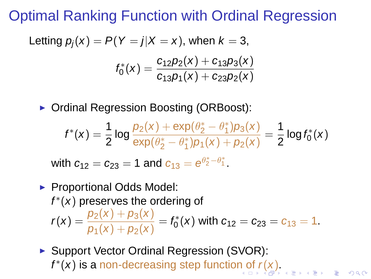Optimal Ranking Function with Ordinal Regression

Letting 
$$
p_j(x) = P(Y = j | X = x)
$$
, when  $k = 3$ ,  

$$
f_0^*(x) = \frac{c_{12}p_2(x) + c_{13}p_3(x)}{c_{13}p_1(x) + c_{23}p_2(x)}
$$

◮ Ordinal Regression Boosting (ORBoost):

$$
f^*(x) = \frac{1}{2} \log \frac{p_2(x) + \exp(\theta_2^* - \theta_1^*)p_3(x)}{\exp(\theta_2^* - \theta_1^*)p_1(x) + p_2(x)} = \frac{1}{2} \log f_0^*(x)
$$

with  $c_{12} = c_{23} = 1$  and  $c_{13} = e^{\theta_2^* - \theta_1^*}$ .

### ▶ Proportional Odds Model:  $f^*(x)$  preserves the ordering of  $r(x) = \frac{p_2(x) + p_3(x)}{p_2(x) + p_3(x)}$  $\frac{p_2(x) + p_3(x)}{p_1(x) + p_2(x)} = f_0^*$  $C_0^*(x)$  with  $c_{12} = c_{23} = c_{13} = 1$ .

<span id="page-22-0"></span>► Support Vector Ordinal Regression (SVOR):  $f^*(x)$  $f^*(x)$  $f^*(x)$  $f^*(x)$  is a non-decreasing step functio[n o](#page-21-0)f  $r(x)$  $r(x)$ .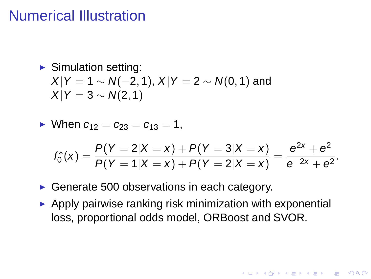## Numerical Illustration

## $\blacktriangleright$  Simulation setting:  $X|Y = 1 \sim N(-2, 1), X|Y = 2 \sim N(0, 1)$  and  $X|Y = 3 \sim N(2, 1)$

• When  $c_{12} = c_{23} = c_{13} = 1$ ,

$$
f_0^*(x) = \frac{P(Y=2|X=x) + P(Y=3|X=x)}{P(Y=1|X=x) + P(Y=2|X=x)} = \frac{e^{2x} + e^2}{e^{-2x} + e^2}.
$$

**KORKARYKERKE PORCH** 

- ► Generate 500 observations in each category.
- <span id="page-23-0"></span> $\triangleright$  Apply pairwise ranking risk minimization with exponential loss, proportional odds model, ORBoost and SVOR.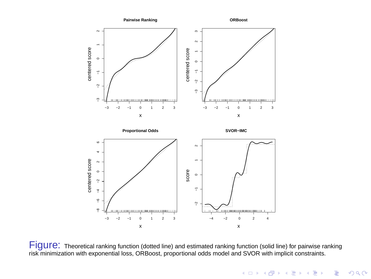

FigUIC: Theoretical ranking function (dotted line) and estimated ranking function (solid line) for pairwise ranking<br>risk minimization with exponential loss, ORBoost, proportional odds model and SVOR with implicit constrain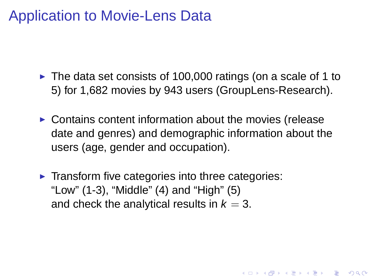## Application to Movie-Lens Data

- $\triangleright$  The data set consists of 100,000 ratings (on a scale of 1 to 5) for 1,682 movies by 943 users (GroupLens-Research).
- $\triangleright$  Contains content information about the movies (release date and genres) and demographic information about the users (age, gender and occupation).

**A DIA K F A REIN A RIA K DIA K DIA R** 

▶ Transform five categories into three categories: "Low" (1-3), "Middle" (4) and "High" (5) and check the analytical results in  $k = 3$ .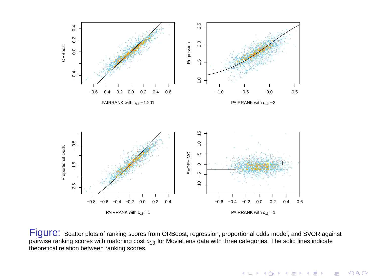

Figure: Scatter plots of ranking scores from ORBoost, regression, proportional odds model, and SVOR against pairwise ranking scores with matching cost  $c_{13}$  for MovieLens data with three categories. The solid lines indicate theoretical relation between ranking scores.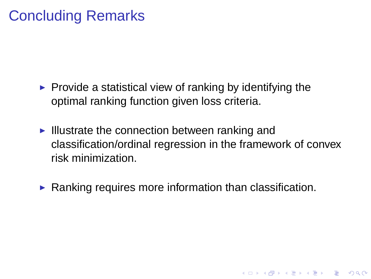## Concluding Remarks

- $\triangleright$  Provide a statistical view of ranking by identifying the optimal ranking function given loss criteria.
- $\blacktriangleright$  Illustrate the connection between ranking and classification/ordinal regression in the framework of convex risk minimization.

**KORKARYKERKE PORCH** 

 $\blacktriangleright$  Ranking requires more information than classification.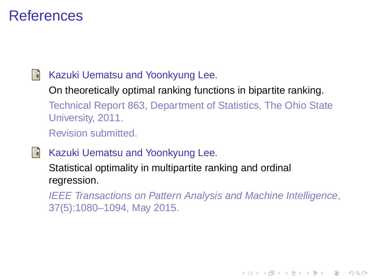## **References**

#### 围 Kazuki Uematsu and Yoonkyung Lee.

On theoretically optimal ranking functions in bipartite ranking.

Technical Report 863, Department of Statistics, The Ohio State University, 2011.

Revision submitted.

野 Kazuki Uematsu and Yoonkyung Lee.

Statistical optimality in multipartite ranking and ordinal regression.

IEEE Transactions on Pattern Analysis and Machine Intelligence, 37(5):1080–1094, May 2015.

**KOD CONTRACT A BOAR KOD**